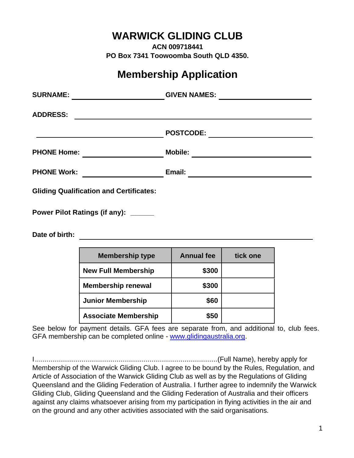## **WARWICK GLIDING CLUB**

**ACN 009718441 PO Box 7341 Toowoomba South QLD 4350.**

## **Membership Application**

| <b>SURNAME:</b>                                | <b>GIVEN NAMES:</b> |
|------------------------------------------------|---------------------|
| <b>ADDRESS:</b>                                |                     |
|                                                | <b>POSTCODE:</b>    |
| <b>PHONE Home:</b>                             | <b>Mobile:</b>      |
| <b>PHONE Work:</b>                             | Email:              |
| <b>Gliding Qualification and Certificates:</b> |                     |
| Power Pilot Ratings (if any): _____            |                     |
| Date of birth:                                 |                     |

| <b>Membership type</b>      | <b>Annual fee</b> | tick one |
|-----------------------------|-------------------|----------|
| <b>New Full Membership</b>  | \$300             |          |
| <b>Membership renewal</b>   | \$300             |          |
| <b>Junior Membership</b>    | \$60              |          |
| <b>Associate Membership</b> | \$50              |          |

See below for payment details. GFA fees are separate from, and additional to, club fees. GFA membership can be completed online - [www.glidingaustralia.org.](http://www.glidingaustralia.org/)

I..............................................................................................(Full Name), hereby apply for Membership of the Warwick Gliding Club. I agree to be bound by the Rules, Regulation, and Article of Association of the Warwick Gliding Club as well as by the Regulations of Gliding Queensland and the Gliding Federation of Australia. I further agree to indemnify the Warwick Gliding Club, Gliding Queensland and the Gliding Federation of Australia and their officers against any claims whatsoever arising from my participation in flying activities in the air and on the ground and any other activities associated with the said organisations.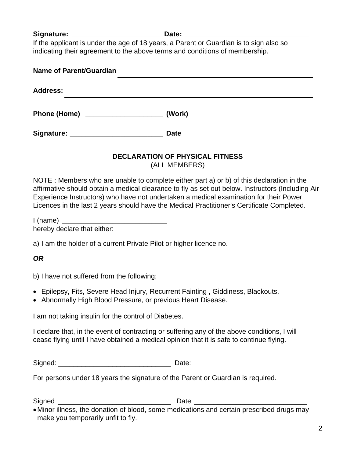Signature: **Date: Date: Date:** 

If the applicant is under the age of 18 years, a Parent or Guardian is to sign also so indicating their agreement to the above terms and conditions of membership.

| Name of Parent/Guardian             |             |
|-------------------------------------|-------------|
| <b>Address:</b>                     |             |
|                                     | (Work)      |
| Signature: ________________________ | <b>Date</b> |

# **DECLARATION OF PHYSICAL FITNESS**

(ALL MEMBERS)

NOTE : Members who are unable to complete either part a) or b) of this declaration in the affirmative should obtain a medical clearance to fly as set out below. Instructors (Including Air Experience Instructors) who have not undertaken a medical examination for their Power Licences in the last 2 years should have the Medical Practitioner's Certificate Completed.

| hereby declare that either: |  |
|-----------------------------|--|

a) I am the holder of a current Private Pilot or higher licence no.

### *OR*

b) I have not suffered from the following;

- Epilepsy, Fits, Severe Head Injury, Recurrent Fainting , Giddiness, Blackouts,
- Abnormally High Blood Pressure, or previous Heart Disease.

I am not taking insulin for the control of Diabetes.

I declare that, in the event of contracting or suffering any of the above conditions, I will cease flying until I have obtained a medical opinion that it is safe to continue flying.

Signed: **Example 2** Date:

For persons under 18 years the signature of the Parent or Guardian is required.

Signed **Example 2** and  $\overline{a}$  Date  $\overline{b}$ 

<sup>•</sup> Minor illness, the donation of blood, some medications and certain prescribed drugs may make you temporarily unfit to fly.